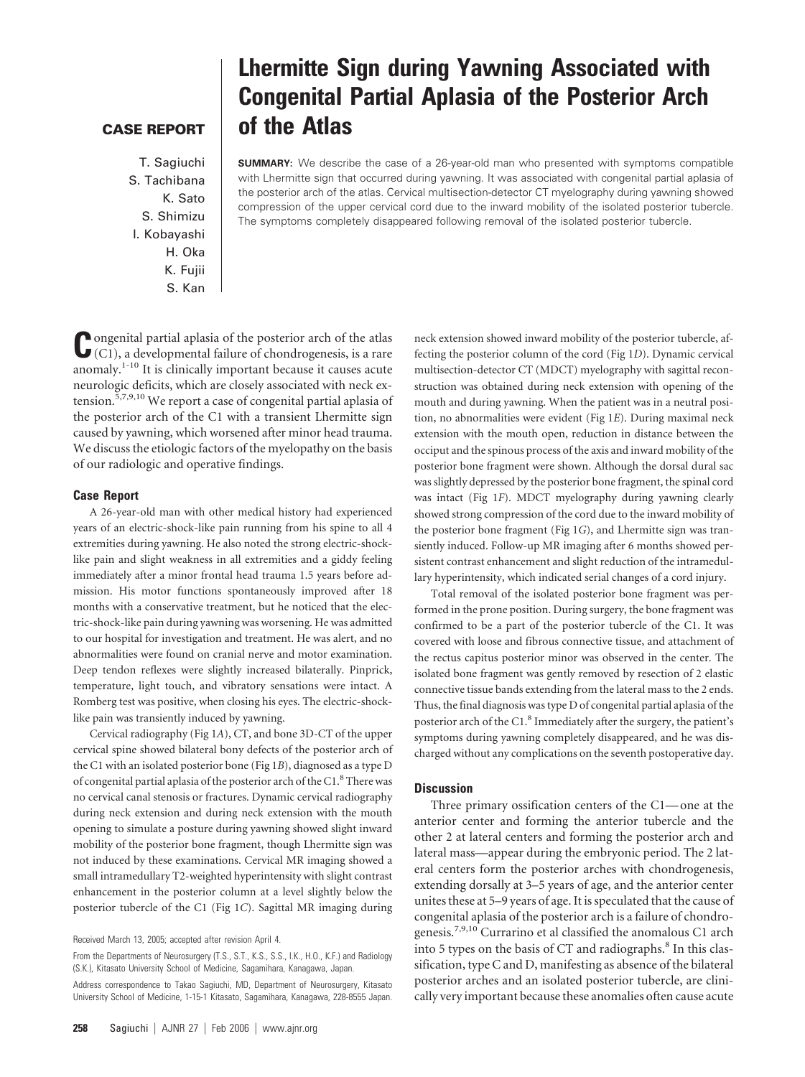## **CASE REPORT**

T. Sagiuchi S. Tachibana K. Sato S. Shimizu I. Kobayashi H. Oka K. Fujii S. Kan

# **Lhermitte Sign during Yawning Associated with Congenital Partial Aplasia of the Posterior Arch of the Atlas**

**SUMMARY:** We describe the case of a 26-year-old man who presented with symptoms compatible with Lhermitte sign that occurred during yawning. It was associated with congenital partial aplasia of the posterior arch of the atlas. Cervical multisection-detector CT myelography during yawning showed compression of the upper cervical cord due to the inward mobility of the isolated posterior tubercle. The symptoms completely disappeared following removal of the isolated posterior tubercle.

**C**ongenital partial aplasia of the posterior arch of the atlas (C1), a developmental failure of chondrogenesis, is a rare anomaly.1-10 It is clinically important because it causes acute neurologic deficits, which are closely associated with neck extension.<sup>5,7,9,10</sup> We report a case of congenital partial aplasia of the posterior arch of the C1 with a transient Lhermitte sign caused by yawning, which worsened after minor head trauma. We discuss the etiologic factors of the myelopathy on the basis of our radiologic and operative findings.

#### **Case Report**

A 26-year-old man with other medical history had experienced years of an electric-shock-like pain running from his spine to all 4 extremities during yawning. He also noted the strong electric-shocklike pain and slight weakness in all extremities and a giddy feeling immediately after a minor frontal head trauma 1.5 years before admission. His motor functions spontaneously improved after 18 months with a conservative treatment, but he noticed that the electric-shock-like pain during yawning was worsening. He was admitted to our hospital for investigation and treatment. He was alert, and no abnormalities were found on cranial nerve and motor examination. Deep tendon reflexes were slightly increased bilaterally. Pinprick, temperature, light touch, and vibratory sensations were intact. A Romberg test was positive, when closing his eyes. The electric-shocklike pain was transiently induced by yawning.

Cervical radiography (Fig 1*A*), CT, and bone 3D-CT of the upper cervical spine showed bilateral bony defects of the posterior arch of the C1 with an isolated posterior bone (Fig 1*B*), diagnosed as a type D of congenital partial aplasia of the posterior arch of the C1.<sup>8</sup> There was no cervical canal stenosis or fractures. Dynamic cervical radiography during neck extension and during neck extension with the mouth opening to simulate a posture during yawning showed slight inward mobility of the posterior bone fragment, though Lhermitte sign was not induced by these examinations. Cervical MR imaging showed a small intramedullary T2-weighted hyperintensity with slight contrast enhancement in the posterior column at a level slightly below the posterior tubercle of the C1 (Fig 1*C*). Sagittal MR imaging during

From the Departments of Neurosurgery (T.S., S.T., K.S., S.S., I.K., H.O., K.F.) and Radiology (S.K.), Kitasato University School of Medicine, Sagamihara, Kanagawa, Japan.

neck extension showed inward mobility of the posterior tubercle, affecting the posterior column of the cord (Fig 1*D*). Dynamic cervical multisection-detector CT (MDCT) myelography with sagittal reconstruction was obtained during neck extension with opening of the mouth and during yawning. When the patient was in a neutral position, no abnormalities were evident (Fig 1*E*). During maximal neck extension with the mouth open, reduction in distance between the occiput and the spinous process of the axis and inward mobility of the posterior bone fragment were shown. Although the dorsal dural sac was slightly depressed by the posterior bone fragment, the spinal cord was intact (Fig 1*F*). MDCT myelography during yawning clearly showed strong compression of the cord due to the inward mobility of the posterior bone fragment (Fig 1*G*), and Lhermitte sign was transiently induced. Follow-up MR imaging after 6 months showed persistent contrast enhancement and slight reduction of the intramedullary hyperintensity, which indicated serial changes of a cord injury.

Total removal of the isolated posterior bone fragment was performed in the prone position. During surgery, the bone fragment was confirmed to be a part of the posterior tubercle of the C1. It was covered with loose and fibrous connective tissue, and attachment of the rectus capitus posterior minor was observed in the center. The isolated bone fragment was gently removed by resection of 2 elastic connective tissue bands extending from the lateral mass to the 2 ends. Thus, the final diagnosis was type D of congenital partial aplasia of the posterior arch of the C1.8 Immediately after the surgery, the patient's symptoms during yawning completely disappeared, and he was discharged without any complications on the seventh postoperative day.

### **Discussion**

Three primary ossification centers of the C1— one at the anterior center and forming the anterior tubercle and the other 2 at lateral centers and forming the posterior arch and lateral mass—appear during the embryonic period. The 2 lateral centers form the posterior arches with chondrogenesis, extending dorsally at 3–5 years of age, and the anterior center unites these at 5–9 years of age. It is speculated that the cause of congenital aplasia of the posterior arch is a failure of chondrogenesis.7,9,10 Currarino et al classified the anomalous C1 arch into 5 types on the basis of CT and radiographs.<sup>8</sup> In this classification, type C and D, manifesting as absence of the bilateral posterior arches and an isolated posterior tubercle, are clinically very important because these anomalies often cause acute

Received March 13, 2005; accepted after revision April 4.

Address correspondence to Takao Sagiuchi, MD, Department of Neurosurgery, Kitasato University School of Medicine, 1-15-1 Kitasato, Sagamihara, Kanagawa, 228-8555 Japan.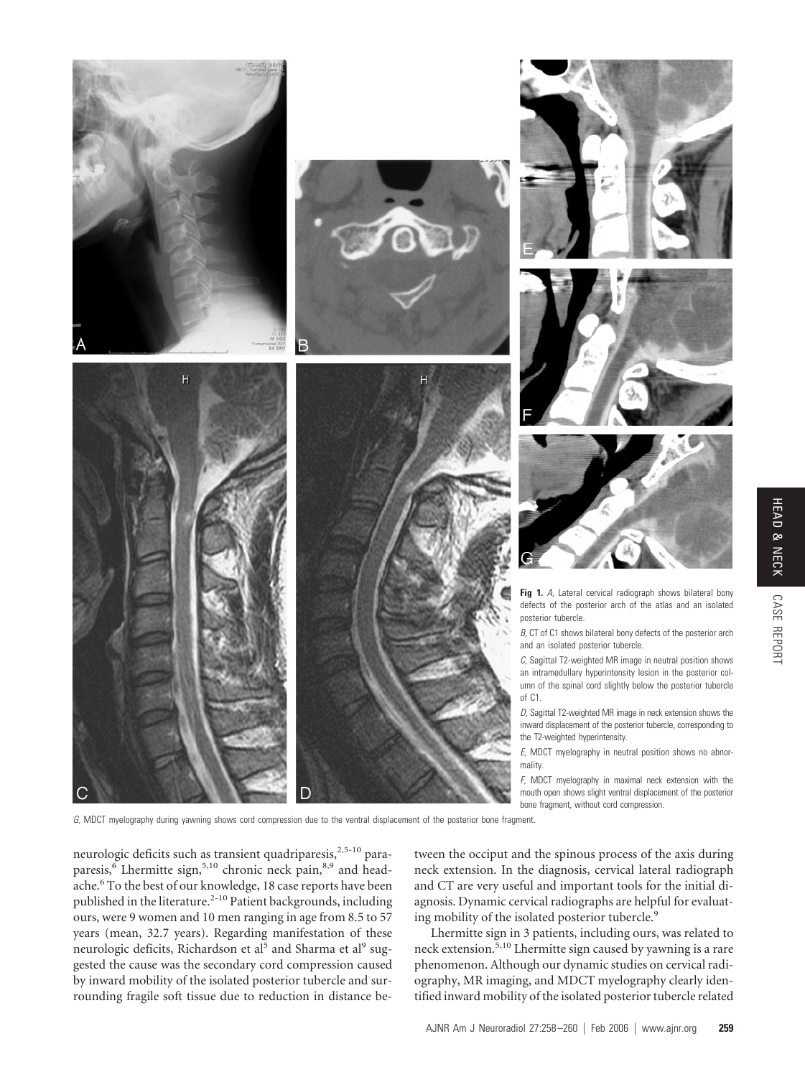









**Fig 1.** *A,* Lateral cervical radiograph shows bilateral bony defects of the posterior arch of the atlas and an isolated posterior tubercle.

*B,* CT of C1 shows bilateral bony defects of the posterior arch and an isolated posterior tubercle.

*C,* Sagittal T2-weighted MR image in neutral position shows an intramedullary hyperintensity lesion in the posterior column of the spinal cord slightly below the posterior tubercle of C1.

*D,* Sagittal T2-weighted MR image in neck extension shows the inward displacement of the posterior tubercle, corresponding to the T2-weighted hyperintensity.

*E,* MDCT myelography in neutral position shows no abnormality.

*F,* MDCT myelography in maximal neck extension with the mouth open shows slight ventral displacement of the posterior bone fragment, without cord compression.

*G,* MDCT myelography during yawning shows cord compression due to the ventral displacement of the posterior bone fragment.

neurologic deficits such as transient quadriparesis,<sup>2,5-10</sup> paraparesis,<sup>6</sup> Lhermitte sign,<sup>5,10</sup> chronic neck pain,<sup>8,9</sup> and headache.<sup>6</sup> To the best of our knowledge, 18 case reports have been published in the literature.<sup>2-10</sup> Patient backgrounds, including ours, were 9 women and 10 men ranging in age from 8.5 to 57 years (mean, 32.7 years). Regarding manifestation of these neurologic deficits, Richardson et al<sup>5</sup> and Sharma et al<sup>9</sup> suggested the cause was the secondary cord compression caused by inward mobility of the isolated posterior tubercle and surrounding fragile soft tissue due to reduction in distance between the occiput and the spinous process of the axis during neck extension. In the diagnosis, cervical lateral radiograph and CT are very useful and important tools for the initial diagnosis. Dynamic cervical radiographs are helpful for evaluating mobility of the isolated posterior tubercle.<sup>9</sup>

Lhermitte sign in 3 patients, including ours, was related to neck extension.5,10 Lhermitte sign caused by yawning is a rare phenomenon. Although our dynamic studies on cervical radiography, MR imaging, and MDCT myelography clearly identified inward mobility of the isolated posterior tubercle related